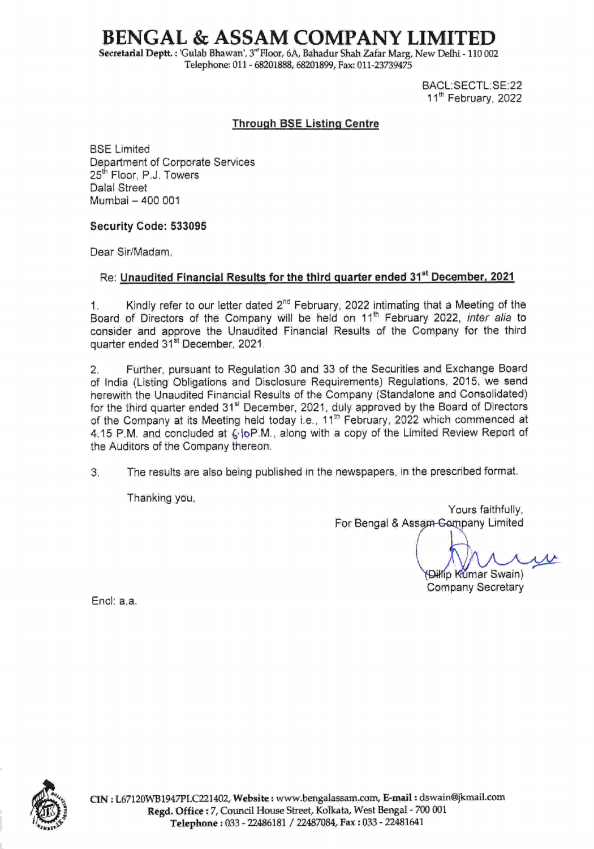# BENGAL & ASSAM COMPANY LIMITED

Secretarial Deptt. : 'Gulab Bhawan', 3<sup>"</sup> Floor, 6A, Bahadur Shah Zafar Marg, New Delhi - 110 002 Telephone: 011 - 68201888, 68201899, Fax: 011-23739475

> BACL:SECTL:SE:22 11<sup>th</sup> February, 2022

### **Through BSE Listing Centre**

BSE Limited Department of Corporate Services 25<sup>th</sup> Floor, P.J. Towers Dalal Street Mumbai- 400 001

### Security Code: 533095

Dear Sir/Madam,

## Re: Unaudited Financial Results for the third quarter ended 31<sup>st</sup> December, 2021

1. Kindly refer to our letter dated  $2^{nd}$  February, 2022 intimating that a Meeting of the Board of Directors of the Company will be held on 11<sup>th</sup> February 2022, inter alia to consider and approve the Unaudited Financial Results of the Company for the third quarter ended 31<sup>st</sup> December, 2021.

2. Further, pursuant to Regulation 30 and 33 of the Securities and Exchange Board of lndia (Listing Obligations and Disclosure Requirements) Regulations,2015, we send herewith the Unaudited Financial Results of the Company (Standalone and Consolidated) for the third quarter ended 31<sup>st</sup> December, 2021, duly approved by the Board of Directors of the Company at its Meeting held today i.e.,  $11^{\text{th}}$  February, 2022 which commenced at 4.15 P.M. and concluded at 6. [oP.M., along with a copy of the Limited Review Report of the Auditors of the Company thereon.

3. The results are also being published in the newspapers, in the prescribed format.

Thanking you,

Yours faithfully, For Bengal & Assam Gompany Limited

(Dillip Kumar Swain)

Company Secretary

Encl: a.a

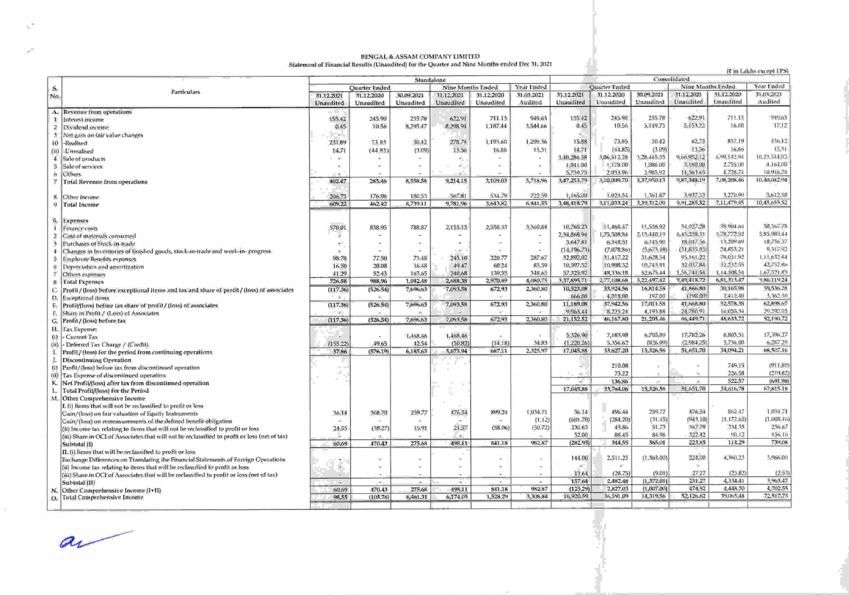## BENGAL & ASSAM COMPANY LIMITED<br>Statement of Financial Results (Unaudited) for the Quarter and Nine Months ended Dec 31, 2021

(₹ in Lakhs except EPS)

|                |                                                                                               | Standalone     |                          |            |                                 |            |                       | Consolidated<br>Year Ended |               |                               |                   |                       |                       |  |
|----------------|-----------------------------------------------------------------------------------------------|----------------|--------------------------|------------|---------------------------------|------------|-----------------------|----------------------------|---------------|-------------------------------|-------------------|-----------------------|-----------------------|--|
| S.             |                                                                                               | Quarter Ended  |                          |            | Year Ended<br>Nine Months Ended |            |                       |                            | Quarter Ended |                               | Nine Months Ended |                       |                       |  |
| No.            | <b>Particulars</b>                                                                            | 31.12.2021     | 31.12.2020               | 30.09.2021 | 31.12.2021                      | 31.12.2020 | 31.03.2021            | 31.12.2021                 | 31.12.2020    | 30.09.2021                    | 31.12.2021        | 31.12.2020            | 31.03.2021            |  |
|                |                                                                                               | Unaudited      | Unaudited                | Unaudited  | Unaudited                       | Unaudited  | Audited               | Unaudited                  | Unaudited     | Unaudited                     | Unaudited         | Unaudited             | Audited               |  |
|                | A. Revenue from operations                                                                    |                |                          |            |                                 |            |                       |                            |               |                               |                   |                       |                       |  |
| и.             | Interest income                                                                               | 155.42         | 245.90                   | 235.78     | 622.91                          | 711.13     | 949.63                | 155.42                     | 245.90        | 235.78                        | 622.91            | 711.13                | 949,63                |  |
| 2              |                                                                                               | 0.45           | 10.56                    | 8,295.47   | 8.298.94                        | 1,187.44   | 3,544.66              | 0.45                       | 10.56         | 5.149.75                      | 5.153.22          | 16.60                 | 17.12                 |  |
| $\mathbf{a}$   | Dividend income                                                                               | <b>College</b> |                          |            |                                 |            |                       |                            |               |                               |                   |                       |                       |  |
|                | Net gain on fair value changes                                                                |                |                          |            | 278.74                          | 1,193.60   | 1,209.36              | 15.88                      | 73.85         | 30.42                         | 62.73             | 837.19                | 436, 12               |  |
|                | (i) -Realised                                                                                 | 231.89         | 7385                     | 30.42      |                                 |            |                       | 14.71                      | (44.85)       | (3.09)                        | 13.56             | 16,86                 | 15.31                 |  |
| (ii)           | -Unrealised                                                                                   | 14.71          | (44.85)                  | (3.09)     | 13.56                           | 16:86      | 15.31                 |                            |               |                               | 9,66,952.12       | 6,49, [42.94]         | 10.23.514,02          |  |
| 4.             | Sale of products                                                                              | $\sim$         |                          |            |                                 |            |                       | 3.40,286.58                | 1,06.512.28   | 3,28,465.35<br>1.086.00       | 3,180.00          | 2.755.00              | 1.164.00              |  |
|                | 5 Sale of services                                                                            |                |                          |            |                                 |            |                       | 1,041.00                   | 1.178.00      |                               |                   | 4,728.74              | 10,946.74             |  |
|                | <b>Others</b>                                                                                 |                |                          |            |                                 |            |                       | 5,739.75                   | 2.033.96      | 2.985.92                      | 11.363.65         |                       |                       |  |
|                | Total Revenue from operations                                                                 | 402.47         | 285,46                   | 8,558.58   | 9,214.15                        | 3,109.03   | 5,718.96              | 3,47,253.79                | 3,10.009.70   | 3,37,950.13                   | 9,87,348,19       | 7.08,208.46           | 10,40,042.94          |  |
|                |                                                                                               |                |                          |            |                                 |            |                       |                            |               |                               |                   |                       |                       |  |
|                | 8 Other income                                                                                | 206.75         | 176.96                   | 180.53     | 567.81                          | 534.79     | 722.59                | 1,165,00                   | 1.023.54      | 1.361.87                      | 3,937.33          | 3,270.00              | 5.612.58              |  |
| ū              | Total Income                                                                                  | 609.22         | 462.42                   | 6,739.11   | 9,781.96                        | 3,643.82   | 6.441.55              | 3,48,418.79                | 3.11.033.24   | 3,39,312,00                   | 9,91,285.52       | 7,11,479.45           | 10,45,655,52          |  |
|                |                                                                                               |                |                          |            |                                 |            |                       |                            |               |                               |                   |                       |                       |  |
|                | B. Expenses                                                                                   |                |                          |            |                                 |            |                       |                            |               |                               |                   |                       |                       |  |
|                | <b>Finance costs</b>                                                                          | 570.01         | 838.95                   | 788,87     | 2,153.13                        | 2,550.33   | 3,360.84              | 10,760.23                  | 11,468.47     | 11,536.92                     | 34,027.28         | 38,904.64             | 50.367.78             |  |
| 2.             | Cost of materials consumed                                                                    |                |                          |            |                                 |            |                       | 2.34,868.94                | 1,75,508,84   | 2,15,440.19                   | 6,45,238.31       | 3.78,772.92           | 5.85.989.14           |  |
|                | Purchases of Stock-in-frade                                                                   |                |                          |            |                                 |            |                       | 5,647.81                   | 6,548.51      | 6.145.90                      | 18,047.56         | 13,209.69             | 18.736.57             |  |
| 4              | Changes in Inventories of finished goods, stock-in-trade and work-in-progress                 |                |                          |            |                                 |            |                       | (14, 196.73)               | (7,078,86)    | (5,673.48)                    | (31,835.03)       | 24,853.21             | 9.317.92              |  |
| 5              | <b>Employee Benefits expenses</b>                                                             | 98.78          | 77.50                    | 73,48      | 245.10                          | 220.77     | 287.67                | 32,892.02                  | 31,417,22     | 31,628.54                     | 95,161.22         | 79,031.92             | 1.11.632.84           |  |
|                | Depreciation and amortization                                                                 | 16.50          | 20.08                    | 16.48      | 49.47                           | 60.24      | 83.59                 | 10,597.52                  | 10,908.32     | 10,743.91                     | 32.037.84         | 32.232.55             | 42,752.80             |  |
|                | Others expenses                                                                               | 41.29          | 52.43                    | 163.65     | 240.68                          | 139.55     | 348.65                | 57,325,92                  | 48,336.18     | 52.675.44                     | 1,56,741.54       | 1.14.308.54           | 1.67,321.83           |  |
| -8             | <b>Total Expenses</b>                                                                         | 726.58         | 988.96                   | 1,042.48   | 2,688.38                        | 2,970.89   | 4,080,75              | 3,37,895.71                | 2,77,108.68   | 3,22.497.42                   | 9,49,418.72       | 6,81,313,47           | 9.86.119.24           |  |
| C.             | Profil / (loss) before exceptional items and tax and share of profit / (loss) of associates   | (117.36)       | (526.54)                 | 7,696,63   | 7,093.58                        | 672.93     | 2,360.80              | 10,523.08                  | 33,924.56     | 16,814.58                     | 41,866,80         | 30,165.98             | 59,536.28             |  |
|                | D. Exceptional items                                                                          | 1. U           | $\sim$                   |            |                                 |            |                       | 666.00                     | 4,018.00      | 197,00                        | (198.00)          | 2.412.40              | 3.362.39              |  |
| Б.             | Profil/(loss) before tax share of profil/(loss) of associates                                 | (117.36)       | (526.54)                 | 7,696.63   | 7,093.58                        | 672.93     | 2,360.80              | 11,189.08                  | 37,942.56     | 17,011.58                     | 41,668.80         | 32,578,38             | 62,898.67             |  |
| Е.             | Share in Profit / (Loss) of Associates                                                        | t in the       |                          |            |                                 |            |                       | 9.963.44                   | 8.225.24      | 4,193.88                      | 24,780.91         | 16,055,34             | 29.292.05             |  |
|                | G. Profit/(loss) before tax                                                                   | (117.36)       | (526.54)                 | 7,696,63   | 7,093.58                        | 672.93     | 2,360.80              | 21, 152.52                 | 46,167,80     | 21,205,46                     | 66,449.71         | 48,633.72             | 92.190.72             |  |
|                | H. Tax Expense:                                                                               |                |                          |            |                                 |            |                       |                            |               |                               |                   |                       |                       |  |
| $\overline{u}$ | - Current Tax                                                                                 |                |                          | 1,468,46   | 1,468.46                        |            |                       | 5.326.90                   | 7,183.98      | 6,705,89                      | 17,782.26         | 8,803.51              | 17,396.27             |  |
|                |                                                                                               | (155.22)       | 49.65                    | 42.54      | (50.82)                         | (14.18)    | 34.83                 | (1.220.26)                 | 5,356.62      | (826.99)                      | (2,984.25)        | 5,736,00              | 6,287.20              |  |
|                | (ii) - Deferred Tax Charge / (Credii)                                                         | 37.86          | (576.19)                 | 6,185.63   | 5,675.94                        | 687.11     | 2,325,97              | 17,045.88                  | 33,627.20     | 15,326.56                     | 51,651.70         | 34,094.21             | 68,507.16             |  |
| L.             | Profit/ (loss) for the period from continuing operations                                      |                |                          |            |                                 |            |                       |                            |               |                               |                   |                       |                       |  |
|                | <b>Discontinuing Operation</b>                                                                | m in           |                          |            |                                 |            |                       |                            | 210.08        |                               |                   | 749.15                | (911, 80)             |  |
|                | (i) Profit/(loss) before tax from discontinued operation                                      |                |                          |            |                                 |            |                       | <b>A</b>                   | 73.22         | $\overrightarrow{E_{\rm{c}}}$ | $\tau_{\rm H}$    | 226.58                | (219.82)              |  |
|                | (ii) Tax Expense of discontinued operation                                                    |                |                          |            |                                 |            |                       |                            | 136.86        | a.                            | ×                 | 522.57                | (191.98)              |  |
| К.             | Net Profit/(loss) after lax from discontinued operation                                       |                |                          |            |                                 |            |                       | 17,045,88                  | 33,764.06     | 15,326.56                     | 51,651.70         | 34,616,78             | 67,815.18             |  |
| L.             | Total Profit/(loss) for the Period                                                            |                |                          |            |                                 |            |                       |                            |               |                               |                   |                       |                       |  |
| M.             | Other Comprehensive Income                                                                    |                |                          |            |                                 |            |                       |                            |               |                               |                   |                       |                       |  |
|                | L (i) Ilems that will not be reclassified to prefil or loss                                   |                |                          | 259.77     | 476.54                          | 899.24     | 1.034.71              | 36.14                      | 496.44        | 259.77                        | 476.54            | 862.47                | $1.034 - 71$          |  |
|                | Gain/(loss) on fair valuation of Equity Instruments                                           | 36,14          | 508.70                   |            |                                 |            | (1.12)                | (601.70)                   | (284.20)      | (31.45)                       | (943, 10)         | (1,172.65)            | (1,008,41)            |  |
|                | Gain/(loss) on remeasurements of the defined benefit obligation                               |                |                          |            |                                 | (58.06)    | (50.72)               | 230.63                     | 43.86         | 51.73                         | 367.79            | 334.35                | 256.67                |  |
|                | (ii) Income fax relating to flems that will not be reclassified to profit or loss             | 24,55          | (38.27)                  | 15.91      | 21.57                           |            |                       | 52.00                      | 88.45         | 84.96                         | 322.42            | 50.12                 | 456.III               |  |
|                | (iii) Share in OC1 of Associates that will not be reclassified to profit or loss (net of tax) |                |                          |            |                                 |            | 982.87                | (282.93)                   | 344.55        | 365.01                        | 223.65            | 114,29                | 734.08                |  |
|                | Subtotal (I)                                                                                  | 60.69          | 470.43                   | 275.68     | 498.11                          | 841.18     |                       |                            |               |                               |                   |                       |                       |  |
|                | II. (i) Items that will be reclassified to profit or loss                                     |                |                          |            |                                 |            |                       | 144.00                     | 2,511.23      | (1, 363.00)                   | 224.00            | 4,360.23              | 3,966,00              |  |
|                | Exchange Differences on Translating the Financial Statements of Foreign Operations            |                | DK.                      |            |                                 |            |                       |                            | $\sim$        |                               | $\mathbb{R}^n$    |                       |                       |  |
|                | (ii) Income tax relating to items that will be reclassified to profit or loss                 |                | $\overline{\phantom{a}}$ |            |                                 |            |                       |                            |               |                               | 27.27             |                       |                       |  |
|                | (iii) Share in OCI of Associates that will be reclassified to profit or loss (net of tax)     |                |                          |            |                                 |            |                       | 13.64                      | (28.75)       | (9.01)                        |                   | (25.82)               | (2.53)                |  |
|                | Subtotal (II)                                                                                 | $\sim$         | $\sim$                   |            |                                 |            | $\tilde{\phantom{a}}$ | 157.64                     | 2,482.48      | (1,372.01)                    | 251.27            | 4,334.41              | 3,963,47              |  |
| N.             | Other Comprehensive Income (I+II)                                                             | 60.69          | 470.43                   | 275.68     | 498.11                          | 841.18     | 982.87                | (125.29)                   | 2,827.03      | (1,007,00)                    | 474.92            | 4,448.70<br>39,065,48 | 4,702.55<br>72.517.73 |  |
|                | (a) Total Comprehensive Income                                                                | 98.55          | (105.76)                 | 6,461.31   | 6,174.05                        | 1,528.29   | 3,308.84              | 16,920.59                  | 36,591.09     | 14,319.56                     | 52,126,62         |                       |                       |  |
|                |                                                                                               |                |                          |            |                                 |            |                       |                            |               |                               |                   |                       |                       |  |

 $a$ 

 $\mathbb{R}^2$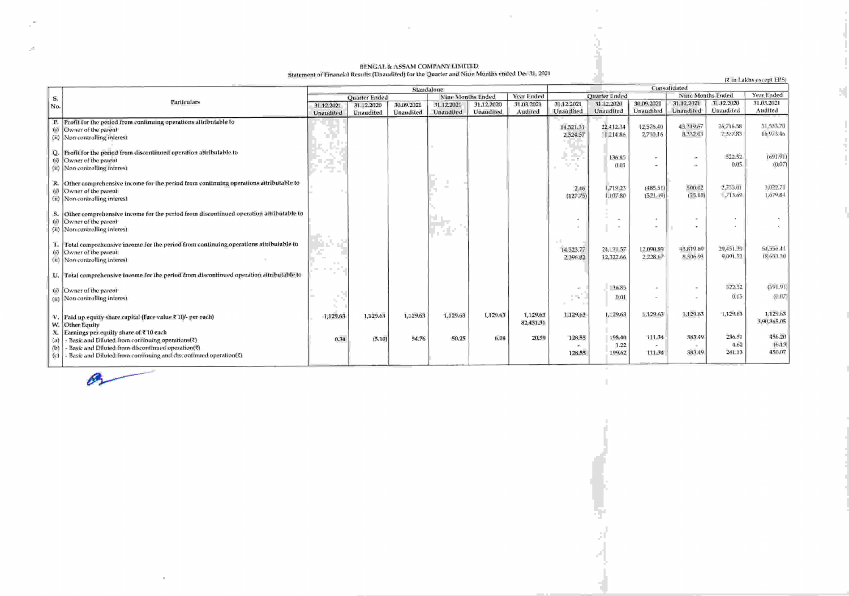## BENGAL & ASSAM COMPANY LIMITIED.<br>Statement of Financial Results (Unaudited) for the Quarter and Nine Munths ended Det 31, 2021

 $\alpha$ 

|                         |                                                                                                                                                                                                                 | Standalone           |                  |            |                                 |            |                       | Cunsulidated                 |                          |                            |                            |                          |                            |  |
|-------------------------|-----------------------------------------------------------------------------------------------------------------------------------------------------------------------------------------------------------------|----------------------|------------------|------------|---------------------------------|------------|-----------------------|------------------------------|--------------------------|----------------------------|----------------------------|--------------------------|----------------------------|--|
| S.                      |                                                                                                                                                                                                                 | <b>Quarter Ended</b> |                  |            | Year Ended<br>Nine Months Ended |            |                       | <b>Quarter Ended</b>         |                          |                            | Nine Months Ended          |                          | Year Ended                 |  |
| Ňο.                     | Particulars                                                                                                                                                                                                     | 31.12.2021           | 31.12.2020       | 30.09.2021 | 31.12.2021                      | 31.12.2020 | 31.03.2021            | 31.12.2021                   | 31,12,2020               | 30.09.2021                 | 31.12.2021                 | 31.12.2020               | 31.03.2021                 |  |
|                         |                                                                                                                                                                                                                 | Unaudited            | <b>Unaudited</b> | Unaudited  | Unaudiled                       | Unaudited  | Audited               | Unaudited                    | Unaudited                | Unaudited                  | Unaudited                  | <b>Unaudited</b>         | Audited                    |  |
| P.<br>(i)               | Profil for the period from continuing operations attributable to<br>Owner of the parent<br>(ii) Now controlling interest                                                                                        |                      |                  |            |                                 |            |                       | 14,521.31<br>2,524.57        | 22.412.34<br>11,214.86   | 12,576.40<br>2,750.16      | 43.319.67<br>8.332.03      | 26,716.38<br>7.377.83    | 51,533.70<br>$10.973 - 10$ |  |
| (i)<br>(ii)             | Q. Profit for the period from discontinued operation attributable to<br>Owner of the parent<br>Non controlling interest                                                                                         |                      |                  |            |                                 |            |                       | a ka<br>L. T<br>v.           | 136.85<br>0.01           |                            | m.<br><b>International</b> | 522.52<br>0.05           | (691.91)<br>(0.07)         |  |
| R.<br>W)<br>(n)         | Other comprehensive income for the period from continuing operations attributable to<br>Owner of the parent<br>Non-controlling interest                                                                         |                      |                  |            | $\sim$                          |            |                       | 2.46<br>(127.75)             | 1,719.23<br>1.107.80     | (485.51)<br>(521.49)       | 500.02<br>(25.10)          | 2,735.01<br>1.713.69     | 3:022.71<br>1.679.84       |  |
| S.<br>(i)<br>(n)        | Other comprehensive income for the period from discontinued operation attributable to<br>Owner of the parent<br>Non-controlling interest                                                                        |                      |                  |            | 49.                             |            |                       |                              |                          | $\sim$                     |                            |                          |                            |  |
| (i)                     | T. Total comprehensive income for the period from continuing operations attributable to<br>Owner of the parent<br>(ii) Non controlling interest                                                                 |                      |                  |            |                                 |            |                       | n I<br>14,523.77<br>2,396.82 | 24,131.57<br>12,322.66   | 12,090.89<br>2.228.67      | 43.819.69<br>8.306.93      | 29.451.39<br>9.091.52    | 54,556,41<br>18:653.30     |  |
|                         | U. Total comprehensive income for the period from discontinued operation altributable to                                                                                                                        |                      |                  |            |                                 |            |                       |                              |                          |                            |                            |                          |                            |  |
|                         | (i) Owner of the parent<br>(ii) Non controlling interest                                                                                                                                                        |                      |                  |            |                                 |            |                       |                              | 136.85<br>0.01           |                            |                            | 522.52<br>0.05           | 1691.9D<br>(0,0.7)         |  |
| w.                      | V. Paid up equity share capital (Face value ₹ 10/- per each)<br>Other Equity                                                                                                                                    | 1,129.63             | 1,129.63         | 1,129.63   | 1,129.63                        | 1,129.63   | 1,129.63<br>82,431.31 | 1,129.63                     | 1,129.63                 | 1,129.63                   | 1.129.63                   | 1,129.63                 | 1.129.63<br>3,90,365.05    |  |
| X.<br>(a)<br>(b)<br>(C) | Earnings per equity share of ₹10 each<br>Basic and Diluted from continuing operations(?)<br>Basic and Diluted from discontinued operation(?)<br>Basic and Diluted from continuing and discontinued operation(?) | 0.34                 | (5,10)           | 54.76      | 50.25                           | 6.08       | 20.59                 | 128.55<br>128.55             | 198.40<br>1.22<br>199.62 | 111.34<br>$\sim$<br>111.34 | 383.49<br>383.49           | 236.51<br>4.62<br>241.13 | 456.20<br>16.131<br>450.07 |  |



المستدر

(2 in Lakhs except EPS)

H.